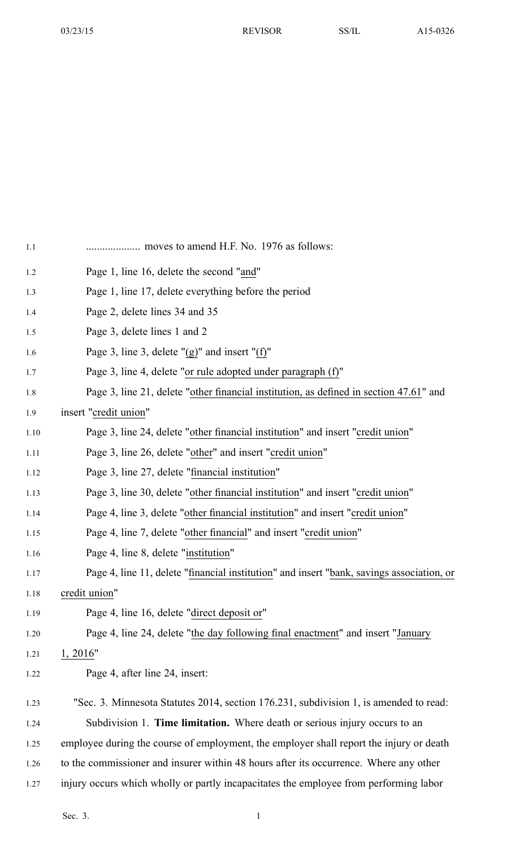03/23/15 REVISOR SS/IL A15-0326

| 1.1  |                                                                                           |
|------|-------------------------------------------------------------------------------------------|
| 1.2  | Page 1, line 16, delete the second "and"                                                  |
| 1.3  | Page 1, line 17, delete everything before the period                                      |
| 1.4  | Page 2, delete lines 34 and 35                                                            |
| 1.5  | Page 3, delete lines 1 and 2                                                              |
| 1.6  | Page 3, line 3, delete " $(g)$ " and insert " $(f)$ "                                     |
| 1.7  | Page 3, line 4, delete "or rule adopted under paragraph (f)"                              |
| 1.8  | Page 3, line 21, delete "other financial institution, as defined in section 47.61" and    |
| 1.9  | insert "credit union"                                                                     |
| 1.10 | Page 3, line 24, delete "other financial institution" and insert "credit union"           |
| 1.11 | Page 3, line 26, delete "other" and insert "credit union"                                 |
| 1.12 | Page 3, line 27, delete "financial institution"                                           |
| 1.13 | Page 3, line 30, delete "other financial institution" and insert "credit union"           |
| 1.14 | Page 4, line 3, delete "other financial institution" and insert "credit union"            |
| 1.15 | Page 4, line 7, delete "other financial" and insert "credit union"                        |
| 1.16 | Page 4, line 8, delete "institution"                                                      |
| 1.17 | Page 4, line 11, delete "financial institution" and insert "bank, savings association, or |
| 1.18 | credit union"                                                                             |
| 1.19 | Page 4, line 16, delete "direct deposit or"                                               |
| 1.20 | Page 4, line 24, delete "the day following final enactment" and insert "January           |
| 1.21 | 1,2016"                                                                                   |
| 1.22 | Page 4, after line 24, insert:                                                            |
| 1.23 | "Sec. 3. Minnesota Statutes 2014, section 176.231, subdivision 1, is amended to read:     |
| 1.24 | Subdivision 1. Time limitation. Where death or serious injury occurs to an                |
| 1.25 | employee during the course of employment, the employer shall report the injury or death   |
| 1.26 | to the commissioner and insurer within 48 hours after its occurrence. Where any other     |
| 1.27 | injury occurs which wholly or partly incapacitates the employee from performing labor     |